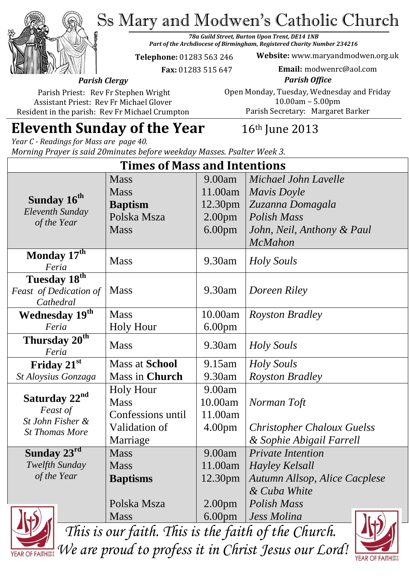Ss Mary and Modwen's Catholic Church



*78a Guild Street, Burton Upon Trent, DE14 1NB Part of the Archdiocese of Birmingham, Registered Charity Number 234216*

**Telephone:** 01283 563 246

**Website:** www.maryandmodwen.org.uk

 **Fax:** 01283 515 647

**Email:** modwenrc@aol.com

*Parish Clergy* Parish Priest: Rev Fr Stephen Wright

Assistant Priest: Rev Fr Michael Glover Resident in the parish: Rev Fr Michael Crumpton

*Parish Office* Open Monday, Tuesday, Wednesday and Friday 10.00am – 5.00pm Parish Secretary:Margaret Barker

# **Eleventh Sunday of the Year** 16th June 2013

*Year C - Readings for Mass are page 40. Morning Prayer is said 20minutes before weekday Masses. Psalter Week 3.*

| <b>Times of Mass and Intentions</b>                                                |                       |                    |                                      |
|------------------------------------------------------------------------------------|-----------------------|--------------------|--------------------------------------|
| Sunday 16 <sup>th</sup><br>Eleventh Sunday<br>of the Year                          | <b>Mass</b>           | 9.00am             | Michael John Lavelle                 |
|                                                                                    | <b>Mass</b>           | 11.00am            | Mavis Doyle                          |
|                                                                                    | <b>Baptism</b>        | 12.30pm            | Zuzanna Domagala                     |
|                                                                                    | Polska Msza           | 2.00 <sub>pm</sub> | <b>Polish Mass</b>                   |
|                                                                                    | <b>Mass</b>           | 6.00 <sub>pm</sub> | John, Neil, Anthony & Paul           |
|                                                                                    |                       |                    | <b>McMahon</b>                       |
| Monday $17^{\overline{\text{th}}}$<br>Feria                                        | <b>Mass</b>           | 9.30am             | <b>Holy Souls</b>                    |
| Tuesday 18th                                                                       |                       |                    |                                      |
| Feast of Dedication of                                                             | <b>Mass</b>           | 9.30am             | Doreen Riley                         |
| Cathedral                                                                          |                       |                    |                                      |
| Wednesday 19th                                                                     | <b>Mass</b>           | 10.00am            | <i>Royston Bradley</i>               |
| Feria                                                                              | <b>Holy Hour</b>      | 6.00 <sub>pm</sub> |                                      |
| Thursday 20 <sup>th</sup><br>Feria                                                 | <b>Mass</b>           | 9.30am             | <b>Holy Souls</b>                    |
| Friday 21st                                                                        | <b>Mass at School</b> | 9.15am             | <i>Holy Souls</i>                    |
| St Aloysius Gonzaga                                                                | Mass in Church        | 9.30am             | <b>Royston Bradley</b>               |
| Saturday 22 <sup>nd</sup><br>Feast of<br>St John Fisher &<br><b>St Thomas More</b> | <b>Holy Hour</b>      | 9.00am             |                                      |
|                                                                                    | <b>Mass</b>           | 10.00am            | Norman Toft                          |
|                                                                                    | Confessions until     | 11.00am            |                                      |
|                                                                                    | Validation of         | 4.00 <sub>pm</sub> | <b>Christopher Chaloux Guelss</b>    |
|                                                                                    | Marriage              |                    | & Sophie Abigail Farrell             |
| Sunday 23rd                                                                        | <b>Mass</b>           | 9.00am             | <b>Private Intention</b>             |
| Twelfth Sunday                                                                     | <b>Mass</b>           |                    | 11.00am   Hayley Kelsall             |
| of the Year                                                                        | <b>Baptisms</b>       | 12.30pm            | <b>Autumn Allsop, Alice Cacplese</b> |
|                                                                                    |                       |                    | & Cuba White                         |
|                                                                                    | Polska Msza           | 2.00 <sub>pm</sub> | Polish Mass                          |
|                                                                                    | <b>Mass</b>           | 6.00 <sub>pm</sub> | Jess Molina                          |



*This is our faith. This is the faith of the Church. We are proud to profess it in Christ Jesus our Lord!*

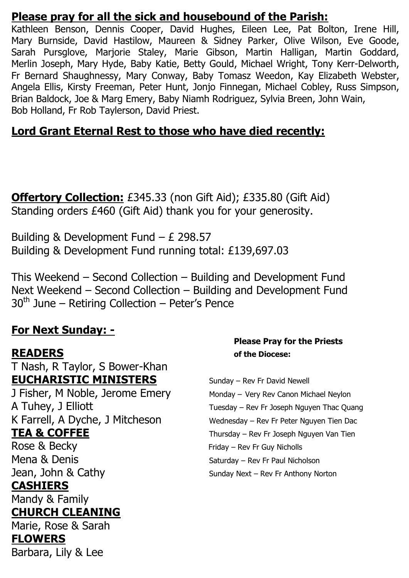## **Please pray for all the sick and housebound of the Parish:**

Kathleen Benson, Dennis Cooper, David Hughes, Eileen Lee, Pat Bolton, Irene Hill, Mary Burnside, David Hastilow, Maureen & Sidney Parker, Olive Wilson, Eve Goode, Sarah Pursglove, Marjorie Staley, Marie Gibson, Martin Halligan, Martin Goddard, Merlin Joseph, Mary Hyde, Baby Katie, Betty Gould, Michael Wright, Tony Kerr-Delworth, Fr Bernard Shaughnessy, Mary Conway, Baby Tomasz Weedon, Kay Elizabeth Webster, Angela Ellis, Kirsty Freeman, Peter Hunt, Jonjo Finnegan, Michael Cobley, Russ Simpson, Brian Baldock, Joe & Marg Emery, Baby Niamh Rodriguez, Sylvia Breen, John Wain, Bob Holland, Fr Rob Taylerson, David Priest.

# **Lord Grant Eternal Rest to those who have died recently:**

**Offertory Collection:** £345.33 (non Gift Aid); £335.80 (Gift Aid) Standing orders £460 (Gift Aid) thank you for your generosity.

Building & Development Fund – £ 298.57 Building & Development Fund running total: £139,697.03

This Weekend – Second Collection – Building and Development Fund Next Weekend – Second Collection – Building and Development Fund  $30<sup>th</sup>$  June – Retiring Collection – Peter's Pence

## **For Next Sunday: -**

T Nash, R Taylor, S Bower-Khan **EUCHARISTIC MINISTERS** Sunday – Rev Fr David Newell J Fisher, M Noble, Jerome Emery Monday – Very Rev Canon Michael Neylon A Tuhey, J Elliott Tuesday – Rev Fr Joseph Nguyen Thac Quang K Farrell, A Dyche, J Mitcheson Wednesday – Rev Fr Peter Nguyen Tien Dac **TEA & COFFEE** Thursday – Rev Fr Joseph Nguyen Van Tien Rose & Becky Friday – Rev Fr Guy Nicholls Mena & Denis **Saturday – Rev Fr Paul Nicholson** Jean, John & Cathy Sunday Next – Rev Fr Anthony Norton **CASHIERS**

Mandy & Family

## **CHURCH CLEANING**

Marie, Rose & Sarah **FLOWERS**  Barbara, Lily & Lee

### **Please Pray for the Priests READERS of the Diocese:**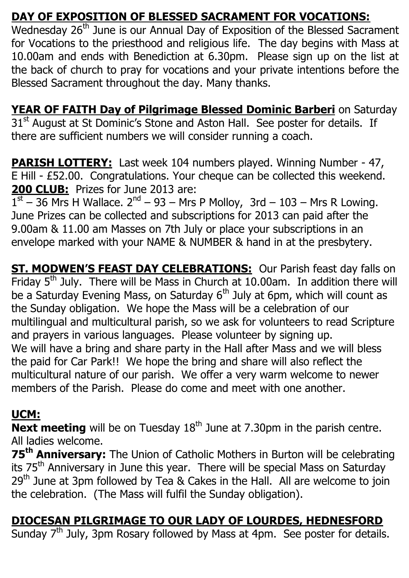# **DAY OF EXPOSITION OF BLESSED SACRAMENT FOR VOCATIONS:**

Wednesday 26<sup>th</sup> June is our Annual Day of Exposition of the Blessed Sacrament for Vocations to the priesthood and religious life. The day begins with Mass at 10.00am and ends with Benediction at 6.30pm. Please sign up on the list at the back of church to pray for vocations and your private intentions before the Blessed Sacrament throughout the day. Many thanks.

**YEAR OF FAITH Day of Pilgrimage Blessed Dominic Barberi** on Saturday 31<sup>st</sup> August at St Dominic's Stone and Aston Hall. See poster for details. If there are sufficient numbers we will consider running a coach.

**PARISH LOTTERY:** Last week 104 numbers played. Winning Number - 47, E Hill - £52.00. Congratulations. Your cheque can be collected this weekend. **200 CLUB:** Prizes for June 2013 are:

 $1<sup>st</sup> - 36$  Mrs H Wallace.  $2<sup>nd</sup> - 93 - Mrs$  P Molloy, 3rd - 103 - Mrs R Lowing. June Prizes can be collected and subscriptions for 2013 can paid after the 9.00am & 11.00 am Masses on 7th July or place your subscriptions in an envelope marked with your NAME & NUMBER & hand in at the presbytery.

**ST. MODWEN'S FEAST DAY CELEBRATIONS:** Our Parish feast day falls on Friday  $5<sup>th</sup>$  July. There will be Mass in Church at 10.00am. In addition there will be a Saturday Evening Mass, on Saturday  $6<sup>th</sup>$  July at 6pm, which will count as the Sunday obligation. We hope the Mass will be a celebration of our multilingual and multicultural parish, so we ask for volunteers to read Scripture and prayers in various languages. Please volunteer by signing up. We will have a bring and share party in the Hall after Mass and we will bless the paid for Car Park!! We hope the bring and share will also reflect the multicultural nature of our parish. We offer a very warm welcome to newer members of the Parish. Please do come and meet with one another.

# **UCM:**

**Next meeting** will be on Tuesday 18<sup>th</sup> June at 7.30pm in the parish centre. All ladies welcome.

**75th Anniversary:** The Union of Catholic Mothers in Burton will be celebrating its 75<sup>th</sup> Anniversary in June this year. There will be special Mass on Saturday 29<sup>th</sup> June at 3pm followed by Tea & Cakes in the Hall. All are welcome to join the celebration. (The Mass will fulfil the Sunday obligation).

# **DIOCESAN PILGRIMAGE TO OUR LADY OF LOURDES, HEDNESFORD**

Sunday 7<sup>th</sup> July, 3pm Rosary followed by Mass at 4pm. See poster for details.